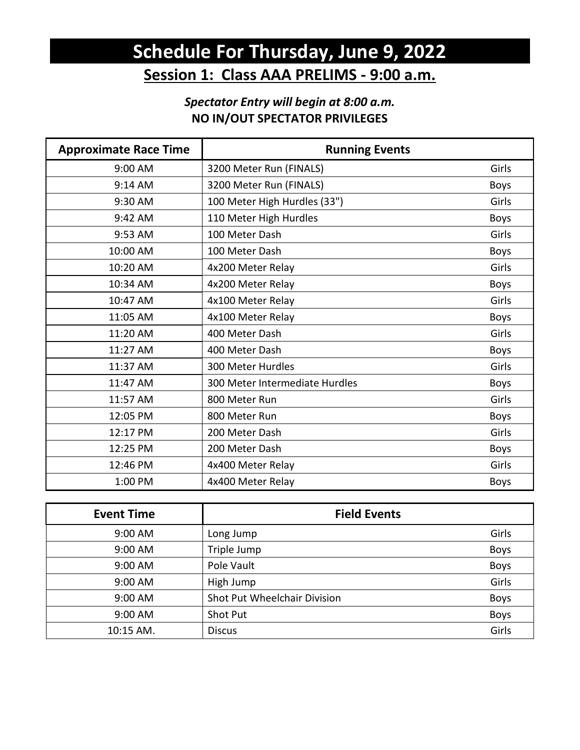## **Schedule For Thursday, June 9, 2022 Session 1: Class AAA PRELIMS - 9:00 a.m.**

### *Spectator Entry will begin at 8:00 a.m.*  **NO IN/OUT SPECTATOR PRIVILEGES**

| <b>Approximate Race Time</b> | <b>Running Events</b>          |             |
|------------------------------|--------------------------------|-------------|
| 9:00 AM                      | 3200 Meter Run (FINALS)        | Girls       |
| 9:14 AM                      | 3200 Meter Run (FINALS)        | <b>Boys</b> |
| 9:30 AM                      | 100 Meter High Hurdles (33")   | Girls       |
| 9:42 AM                      | 110 Meter High Hurdles         | <b>Boys</b> |
| 9:53 AM                      | 100 Meter Dash                 | Girls       |
| 10:00 AM                     | 100 Meter Dash                 | <b>Boys</b> |
| 10:20 AM                     | 4x200 Meter Relay              | Girls       |
| 10:34 AM                     | 4x200 Meter Relay              | <b>Boys</b> |
| 10:47 AM                     | 4x100 Meter Relay              | Girls       |
| 11:05 AM                     | 4x100 Meter Relay              | <b>Boys</b> |
| 11:20 AM                     | 400 Meter Dash                 | Girls       |
| 11:27 AM                     | 400 Meter Dash                 | <b>Boys</b> |
| 11:37 AM                     | 300 Meter Hurdles              | Girls       |
| 11:47 AM                     | 300 Meter Intermediate Hurdles | Boys        |
| 11:57 AM                     | 800 Meter Run                  | Girls       |
| 12:05 PM                     | 800 Meter Run                  | <b>Boys</b> |
| 12:17 PM                     | 200 Meter Dash                 | Girls       |
| 12:25 PM                     | 200 Meter Dash                 | Boys        |
| 12:46 PM                     | 4x400 Meter Relay              | Girls       |
| 1:00 PM                      | 4x400 Meter Relay              | <b>Boys</b> |

| <b>Event Time</b> | <b>Field Events</b>          |             |
|-------------------|------------------------------|-------------|
| 9:00 AM           | Long Jump                    | Girls       |
| 9:00 AM           | Triple Jump                  | Boys        |
| 9:00 AM           | Pole Vault                   | Boys        |
| 9:00 AM           | High Jump                    | Girls       |
| 9:00 AM           | Shot Put Wheelchair Division | Boys        |
| 9:00 AM           | Shot Put                     | <b>Boys</b> |
| 10:15 AM.         | <b>Discus</b>                | Girls       |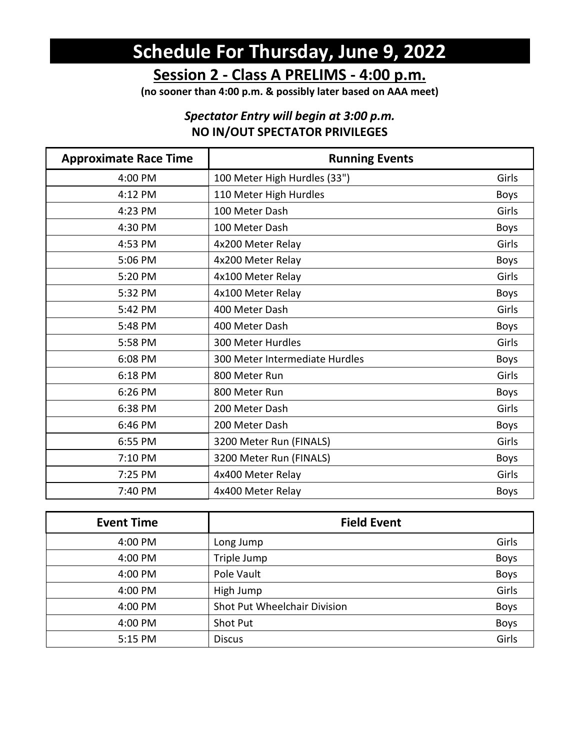# **Schedule For Thursday, June 9, 2022**

**Session 2 - Class A PRELIMS - 4:00 p.m.**

**(no sooner than 4:00 p.m. & possibly later based on AAA meet)**

### *Spectator Entry will begin at 3:00 p.m.*  **NO IN/OUT SPECTATOR PRIVILEGES**

| <b>Approximate Race Time</b> | <b>Running Events</b>          |             |
|------------------------------|--------------------------------|-------------|
| 4:00 PM                      | 100 Meter High Hurdles (33")   | Girls       |
| 4:12 PM                      | 110 Meter High Hurdles         | <b>Boys</b> |
| 4:23 PM                      | 100 Meter Dash                 | Girls       |
| 4:30 PM                      | 100 Meter Dash                 | <b>Boys</b> |
| 4:53 PM                      | 4x200 Meter Relay              | Girls       |
| 5:06 PM                      | 4x200 Meter Relay              | <b>Boys</b> |
| 5:20 PM                      | 4x100 Meter Relay              | Girls       |
| 5:32 PM                      | 4x100 Meter Relay              | <b>Boys</b> |
| 5:42 PM                      | 400 Meter Dash                 | Girls       |
| 5:48 PM                      | 400 Meter Dash                 | <b>Boys</b> |
| 5:58 PM                      | 300 Meter Hurdles              | Girls       |
| 6:08 PM                      | 300 Meter Intermediate Hurdles | <b>Boys</b> |
| 6:18 PM                      | 800 Meter Run                  | Girls       |
| 6:26 PM                      | 800 Meter Run                  | <b>Boys</b> |
| 6:38 PM                      | 200 Meter Dash                 | Girls       |
| 6:46 PM                      | 200 Meter Dash                 | Boys        |
| 6:55 PM                      | 3200 Meter Run (FINALS)        | Girls       |
| 7:10 PM                      | 3200 Meter Run (FINALS)        | <b>Boys</b> |
| 7:25 PM                      | 4x400 Meter Relay              | Girls       |
| 7:40 PM                      | 4x400 Meter Relay              | <b>Boys</b> |

| <b>Event Time</b> | <b>Field Event</b>           |             |
|-------------------|------------------------------|-------------|
| 4:00 PM           | Long Jump                    | Girls       |
| 4:00 PM           | Triple Jump                  | <b>Boys</b> |
| 4:00 PM           | Pole Vault                   | <b>Boys</b> |
| 4:00 PM           | High Jump                    | Girls       |
| 4:00 PM           | Shot Put Wheelchair Division | <b>Boys</b> |
| 4:00 PM           | Shot Put                     | <b>Boys</b> |
| 5:15 PM           | <b>Discus</b>                | Girls       |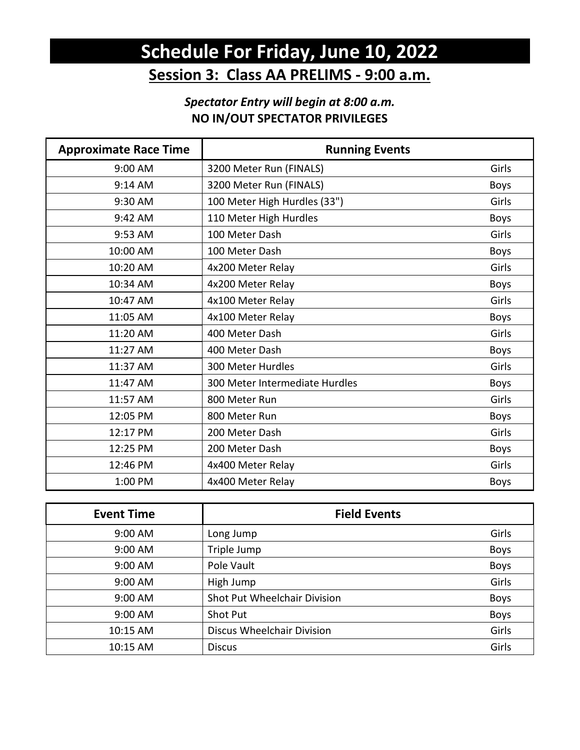## **Schedule For Friday, June 10, 2022 Session 3: Class AA PRELIMS - 9:00 a.m.**

### *Spectator Entry will begin at 8:00 a.m.*  **NO IN/OUT SPECTATOR PRIVILEGES**

| <b>Approximate Race Time</b> | <b>Running Events</b>          |             |
|------------------------------|--------------------------------|-------------|
| 9:00 AM                      | 3200 Meter Run (FINALS)        | Girls       |
| 9:14 AM                      | 3200 Meter Run (FINALS)        | <b>Boys</b> |
| 9:30 AM                      | 100 Meter High Hurdles (33")   | Girls       |
| 9:42 AM                      | 110 Meter High Hurdles         | <b>Boys</b> |
| 9:53 AM                      | 100 Meter Dash                 | Girls       |
| 10:00 AM                     | 100 Meter Dash                 | <b>Boys</b> |
| 10:20 AM                     | 4x200 Meter Relay              | Girls       |
| 10:34 AM                     | 4x200 Meter Relay              | <b>Boys</b> |
| 10:47 AM                     | 4x100 Meter Relay              | Girls       |
| 11:05 AM                     | 4x100 Meter Relay              | <b>Boys</b> |
| 11:20 AM                     | 400 Meter Dash                 | Girls       |
| 11:27 AM                     | 400 Meter Dash                 | <b>Boys</b> |
| 11:37 AM                     | 300 Meter Hurdles              | Girls       |
| 11:47 AM                     | 300 Meter Intermediate Hurdles | Boys        |
| 11:57 AM                     | 800 Meter Run                  | Girls       |
| 12:05 PM                     | 800 Meter Run                  | <b>Boys</b> |
| 12:17 PM                     | 200 Meter Dash                 | Girls       |
| 12:25 PM                     | 200 Meter Dash                 | Boys        |
| 12:46 PM                     | 4x400 Meter Relay              | Girls       |
| 1:00 PM                      | 4x400 Meter Relay              | <b>Boys</b> |

| <b>Event Time</b> | <b>Field Events</b>               |       |
|-------------------|-----------------------------------|-------|
| 9:00 AM           | Long Jump                         | Girls |
| 9:00 AM           | Triple Jump                       | Boys  |
| 9:00 AM           | Pole Vault                        | Boys  |
| 9:00 AM           | High Jump                         | Girls |
| 9:00 AM           | Shot Put Wheelchair Division      | Boys  |
| 9:00 AM           | Shot Put                          | Boys  |
| 10:15 AM          | <b>Discus Wheelchair Division</b> | Girls |
| 10:15 AM          | <b>Discus</b>                     | Girls |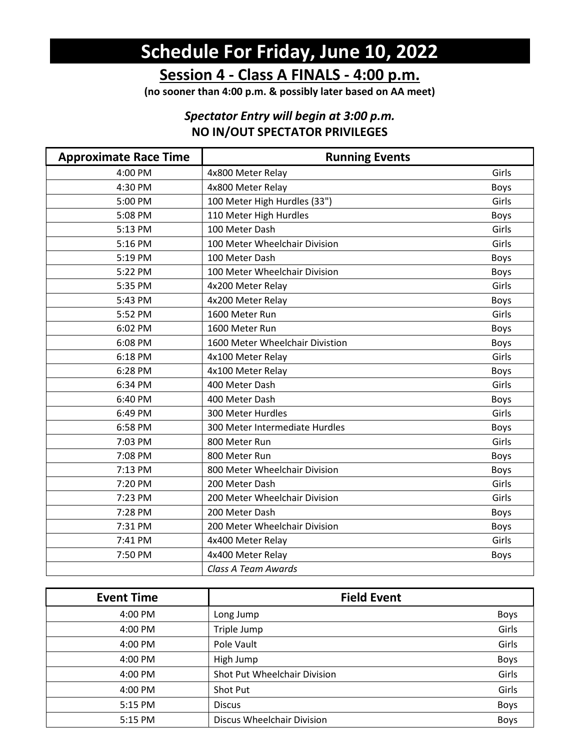# **Schedule For Friday, June 10, 2022**

**Session 4 - Class A FINALS - 4:00 p.m.**

**(no sooner than 4:00 p.m. & possibly later based on AA meet)**

### *Spectator Entry will begin at 3:00 p.m.*  **NO IN/OUT SPECTATOR PRIVILEGES**

| <b>Approximate Race Time</b> | <b>Running Events</b>           |             |
|------------------------------|---------------------------------|-------------|
| 4:00 PM                      | 4x800 Meter Relay               | Girls       |
| 4:30 PM                      | 4x800 Meter Relay               | <b>Boys</b> |
| 5:00 PM                      | 100 Meter High Hurdles (33")    | Girls       |
| 5:08 PM                      | 110 Meter High Hurdles          | <b>Boys</b> |
| 5:13 PM                      | 100 Meter Dash                  | Girls       |
| 5:16 PM                      | 100 Meter Wheelchair Division   | Girls       |
| 5:19 PM                      | 100 Meter Dash                  | <b>Boys</b> |
| 5:22 PM                      | 100 Meter Wheelchair Division   | <b>Boys</b> |
| 5:35 PM                      | 4x200 Meter Relay               | Girls       |
| 5:43 PM                      | 4x200 Meter Relay               | <b>Boys</b> |
| 5:52 PM                      | 1600 Meter Run                  | Girls       |
| 6:02 PM                      | 1600 Meter Run                  | <b>Boys</b> |
| 6:08 PM                      | 1600 Meter Wheelchair Divistion | <b>Boys</b> |
| 6:18 PM                      | 4x100 Meter Relay               | Girls       |
| 6:28 PM                      | 4x100 Meter Relay               | <b>Boys</b> |
| 6:34 PM                      | 400 Meter Dash                  | Girls       |
| 6:40 PM                      | 400 Meter Dash                  | <b>Boys</b> |
| 6:49 PM                      | 300 Meter Hurdles               | Girls       |
| 6:58 PM                      | 300 Meter Intermediate Hurdles  | <b>Boys</b> |
| 7:03 PM                      | 800 Meter Run                   | Girls       |
| 7:08 PM                      | 800 Meter Run                   | <b>Boys</b> |
| 7:13 PM                      | 800 Meter Wheelchair Division   | Boys        |
| 7:20 PM                      | 200 Meter Dash                  | Girls       |
| 7:23 PM                      | 200 Meter Wheelchair Division   | Girls       |
| 7:28 PM                      | 200 Meter Dash                  | <b>Boys</b> |
| 7:31 PM                      | 200 Meter Wheelchair Division   | <b>Boys</b> |
| 7:41 PM                      | 4x400 Meter Relay               | Girls       |
| 7:50 PM                      | 4x400 Meter Relay               | <b>Boys</b> |
|                              | Class A Team Awards             |             |

| <b>Event Time</b> | <b>Field Event</b>           |             |
|-------------------|------------------------------|-------------|
| 4:00 PM           | Long Jump                    | <b>Boys</b> |
| 4:00 PM           | Triple Jump                  | Girls       |
| 4:00 PM           | Pole Vault                   | Girls       |
| 4:00 PM           | High Jump                    | Boys        |
| 4:00 PM           | Shot Put Wheelchair Division | Girls       |
| 4:00 PM           | Shot Put                     | Girls       |
| 5:15 PM           | <b>Discus</b>                | Boys        |
| 5:15 PM           | Discus Wheelchair Division   | <b>Boys</b> |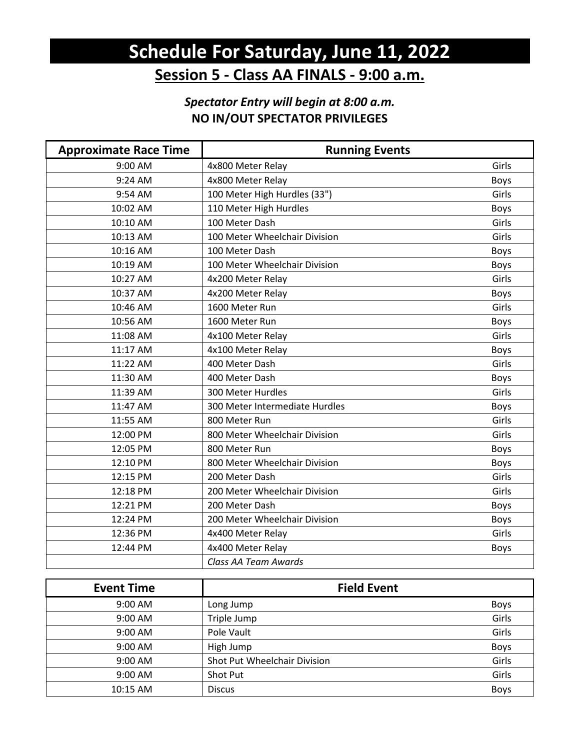## **Schedule For Saturday, June 11, 2022 Session 5 - Class AA FINALS - 9:00 a.m.**

### *Spectator Entry will begin at 8:00 a.m.*  **NO IN/OUT SPECTATOR PRIVILEGES**

| <b>Approximate Race Time</b> | <b>Running Events</b>          |             |
|------------------------------|--------------------------------|-------------|
| 9:00 AM                      | 4x800 Meter Relay              | Girls       |
| 9:24 AM                      | 4x800 Meter Relay              | <b>Boys</b> |
| 9:54 AM                      | 100 Meter High Hurdles (33")   | Girls       |
| 10:02 AM                     | 110 Meter High Hurdles         | <b>Boys</b> |
| 10:10 AM                     | 100 Meter Dash                 | Girls       |
| 10:13 AM                     | 100 Meter Wheelchair Division  | Girls       |
| 10:16 AM                     | 100 Meter Dash                 | <b>Boys</b> |
| 10:19 AM                     | 100 Meter Wheelchair Division  | Boys        |
| 10:27 AM                     | 4x200 Meter Relay              | Girls       |
| 10:37 AM                     | 4x200 Meter Relay              | Boys        |
| 10:46 AM                     | 1600 Meter Run                 | Girls       |
| 10:56 AM                     | 1600 Meter Run                 | <b>Boys</b> |
| 11:08 AM                     | 4x100 Meter Relay              | Girls       |
| 11:17 AM                     | 4x100 Meter Relay              | <b>Boys</b> |
| 11:22 AM                     | 400 Meter Dash                 | Girls       |
| 11:30 AM                     | 400 Meter Dash                 | <b>Boys</b> |
| 11:39 AM                     | 300 Meter Hurdles              | Girls       |
| 11:47 AM                     | 300 Meter Intermediate Hurdles | <b>Boys</b> |
| 11:55 AM                     | 800 Meter Run                  | Girls       |
| 12:00 PM                     | 800 Meter Wheelchair Division  | Girls       |
| 12:05 PM                     | 800 Meter Run                  | Boys        |
| 12:10 PM                     | 800 Meter Wheelchair Division  | <b>Boys</b> |
| 12:15 PM                     | 200 Meter Dash                 | Girls       |
| 12:18 PM                     | 200 Meter Wheelchair Division  | Girls       |
| 12:21 PM                     | 200 Meter Dash                 | <b>Boys</b> |
| 12:24 PM                     | 200 Meter Wheelchair Division  | Boys        |
| 12:36 PM                     | 4x400 Meter Relay              | Girls       |
| 12:44 PM                     | 4x400 Meter Relay              | Boys        |
|                              | Class AA Team Awards           |             |

| <b>Event Time</b> | <b>Field Event</b>           |             |
|-------------------|------------------------------|-------------|
| 9:00 AM           | Long Jump                    | Boys        |
| 9:00 AM           | Triple Jump                  | Girls       |
| 9:00 AM           | Pole Vault                   | Girls       |
| 9:00 AM           | High Jump                    | Boys        |
| 9:00 AM           | Shot Put Wheelchair Division | Girls       |
| 9:00 AM           | Shot Put                     | Girls       |
| 10:15 AM          | <b>Discus</b>                | <b>Boys</b> |